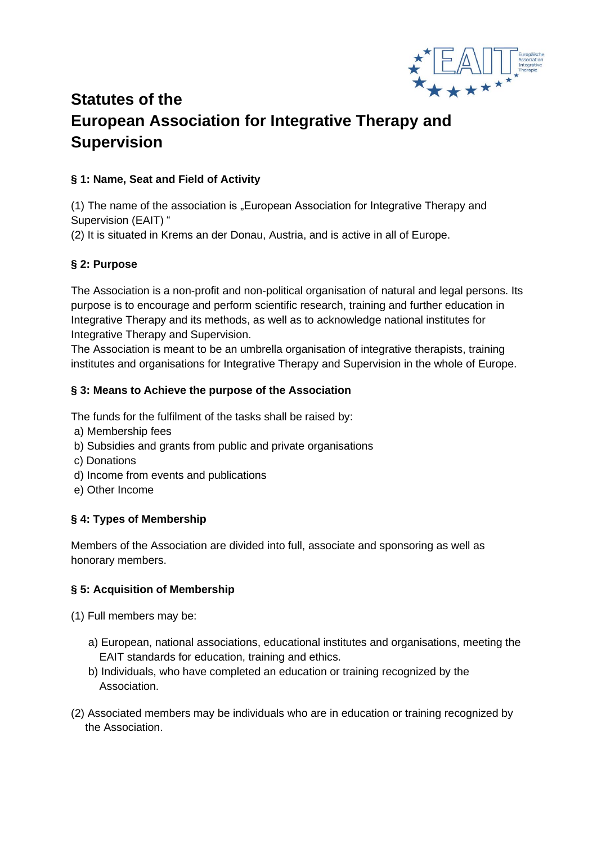

# **Statutes of the European Association for Integrative Therapy and Supervision**

# **§ 1: Name, Seat and Field of Activity**

(1) The name of the association is "European Association for Integrative Therapy and Supervision (EAIT) "

(2) It is situated in Krems an der Donau, Austria, and is active in all of Europe.

### **§ 2: Purpose**

The Association is a non-profit and non-political organisation of natural and legal persons. Its purpose is to encourage and perform scientific research, training and further education in Integrative Therapy and its methods, as well as to acknowledge national institutes for Integrative Therapy and Supervision.

The Association is meant to be an umbrella organisation of integrative therapists, training institutes and organisations for Integrative Therapy and Supervision in the whole of Europe.

#### **§ 3: Means to Achieve the purpose of the Association**

The funds for the fulfilment of the tasks shall be raised by:

- a) Membership fees
- b) Subsidies and grants from public and private organisations
- c) Donations
- d) Income from events and publications
- e) Other Income

### **§ 4: Types of Membership**

Members of the Association are divided into full, associate and sponsoring as well as honorary members.

### **§ 5: Acquisition of Membership**

(1) Full members may be:

- a) European, national associations, educational institutes and organisations, meeting the EAIT standards for education, training and ethics.
- b) Individuals, who have completed an education or training recognized by the Association.
- (2) Associated members may be individuals who are in education or training recognized by the Association.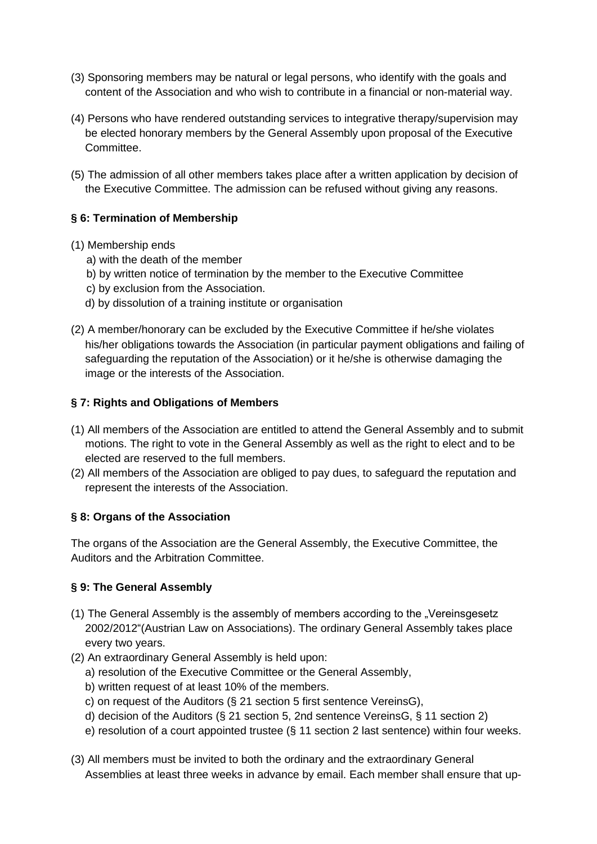- (3) Sponsoring members may be natural or legal persons, who identify with the goals and content of the Association and who wish to contribute in a financial or non-material way.
- (4) Persons who have rendered outstanding services to integrative therapy/supervision may be elected honorary members by the General Assembly upon proposal of the Executive Committee.
- (5) The admission of all other members takes place after a written application by decision of the Executive Committee. The admission can be refused without giving any reasons.

## **§ 6: Termination of Membership**

- (1) Membership ends
	- a) with the death of the member
	- b) by written notice of termination by the member to the Executive Committee
	- c) by exclusion from the Association.
	- d) by dissolution of a training institute or organisation
- (2) A member/honorary can be excluded by the Executive Committee if he/she violates his/her obligations towards the Association (in particular payment obligations and failing of safeguarding the reputation of the Association) or it he/she is otherwise damaging the image or the interests of the Association.

#### **§ 7: Rights and Obligations of Members**

- (1) All members of the Association are entitled to attend the General Assembly and to submit motions. The right to vote in the General Assembly as well as the right to elect and to be elected are reserved to the full members.
- (2) All members of the Association are obliged to pay dues, to safeguard the reputation and represent the interests of the Association.

### **§ 8: Organs of the Association**

The organs of the Association are the General Assembly, the Executive Committee, the Auditors and the Arbitration Committee.

### **§ 9: The General Assembly**

- (1) The General Assembly is the assembly of members according to the "Vereinsgesetz 2002/2012"(Austrian Law on Associations). The ordinary General Assembly takes place every two years.
- (2) An extraordinary General Assembly is held upon:
	- a) resolution of the Executive Committee or the General Assembly,
	- b) written request of at least 10% of the members.
	- c) on request of the Auditors (§ 21 section 5 first sentence VereinsG),
	- d) decision of the Auditors (§ 21 section 5, 2nd sentence VereinsG, § 11 section 2)
	- e) resolution of a court appointed trustee (§ 11 section 2 last sentence) within four weeks.
- (3) All members must be invited to both the ordinary and the extraordinary General Assemblies at least three weeks in advance by email. Each member shall ensure that up-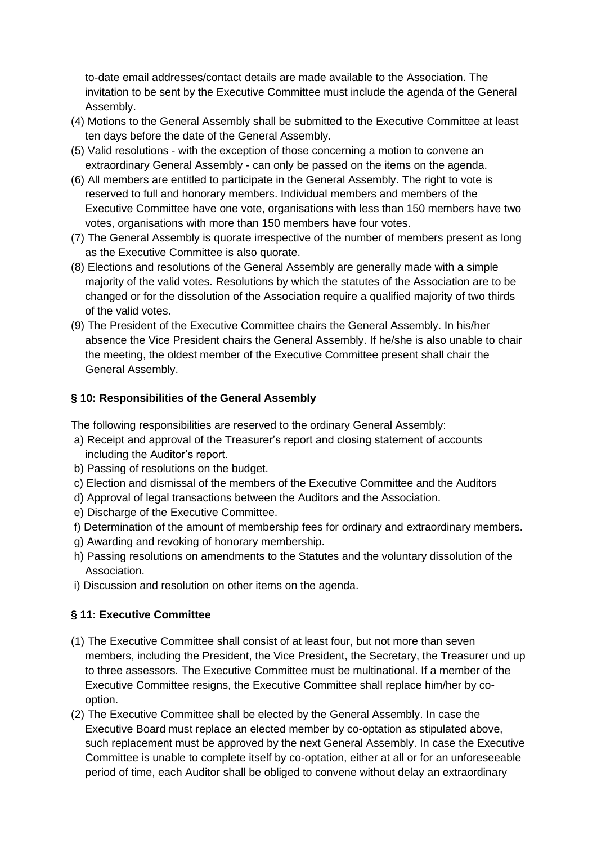to-date email addresses/contact details are made available to the Association. The invitation to be sent by the Executive Committee must include the agenda of the General Assembly.

- (4) Motions to the General Assembly shall be submitted to the Executive Committee at least ten days before the date of the General Assembly.
- (5) Valid resolutions with the exception of those concerning a motion to convene an extraordinary General Assembly - can only be passed on the items on the agenda.
- (6) All members are entitled to participate in the General Assembly. The right to vote is reserved to full and honorary members. Individual members and members of the Executive Committee have one vote, organisations with less than 150 members have two votes, organisations with more than 150 members have four votes.
- (7) The General Assembly is quorate irrespective of the number of members present as long as the Executive Committee is also quorate.
- (8) Elections and resolutions of the General Assembly are generally made with a simple majority of the valid votes. Resolutions by which the statutes of the Association are to be changed or for the dissolution of the Association require a qualified majority of two thirds of the valid votes.
- (9) The President of the Executive Committee chairs the General Assembly. In his/her absence the Vice President chairs the General Assembly. If he/she is also unable to chair the meeting, the oldest member of the Executive Committee present shall chair the General Assembly.

### **§ 10: Responsibilities of the General Assembly**

The following responsibilities are reserved to the ordinary General Assembly:

- a) Receipt and approval of the Treasurer's report and closing statement of accounts including the Auditor's report.
- b) Passing of resolutions on the budget.
- c) Election and dismissal of the members of the Executive Committee and the Auditors
- d) Approval of legal transactions between the Auditors and the Association.
- e) Discharge of the Executive Committee.
- f) Determination of the amount of membership fees for ordinary and extraordinary members.
- g) Awarding and revoking of honorary membership.
- h) Passing resolutions on amendments to the Statutes and the voluntary dissolution of the Association.
- i) Discussion and resolution on other items on the agenda.

### **§ 11: Executive Committee**

- (1) The Executive Committee shall consist of at least four, but not more than seven members, including the President, the Vice President, the Secretary, the Treasurer und up to three assessors. The Executive Committee must be multinational. If a member of the Executive Committee resigns, the Executive Committee shall replace him/her by cooption.
- (2) The Executive Committee shall be elected by the General Assembly. In case the Executive Board must replace an elected member by co-optation as stipulated above, such replacement must be approved by the next General Assembly. In case the Executive Committee is unable to complete itself by co-optation, either at all or for an unforeseeable period of time, each Auditor shall be obliged to convene without delay an extraordinary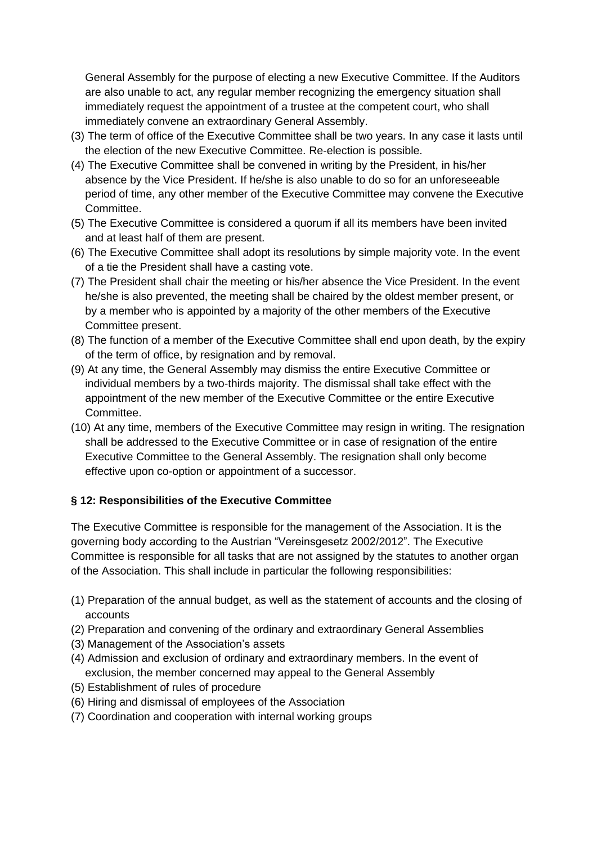General Assembly for the purpose of electing a new Executive Committee. If the Auditors are also unable to act, any regular member recognizing the emergency situation shall immediately request the appointment of a trustee at the competent court, who shall immediately convene an extraordinary General Assembly.

- (3) The term of office of the Executive Committee shall be two years. In any case it lasts until the election of the new Executive Committee. Re-election is possible.
- (4) The Executive Committee shall be convened in writing by the President, in his/her absence by the Vice President. If he/she is also unable to do so for an unforeseeable period of time, any other member of the Executive Committee may convene the Executive Committee.
- (5) The Executive Committee is considered a quorum if all its members have been invited and at least half of them are present.
- (6) The Executive Committee shall adopt its resolutions by simple majority vote. In the event of a tie the President shall have a casting vote.
- (7) The President shall chair the meeting or his/her absence the Vice President. In the event he/she is also prevented, the meeting shall be chaired by the oldest member present, or by a member who is appointed by a majority of the other members of the Executive Committee present.
- (8) The function of a member of the Executive Committee shall end upon death, by the expiry of the term of office, by resignation and by removal.
- (9) At any time, the General Assembly may dismiss the entire Executive Committee or individual members by a two-thirds majority. The dismissal shall take effect with the appointment of the new member of the Executive Committee or the entire Executive Committee.
- (10) At any time, members of the Executive Committee may resign in writing. The resignation shall be addressed to the Executive Committee or in case of resignation of the entire Executive Committee to the General Assembly. The resignation shall only become effective upon co-option or appointment of a successor.

### **§ 12: Responsibilities of the Executive Committee**

The Executive Committee is responsible for the management of the Association. It is the governing body according to the Austrian "Vereinsgesetz 2002/2012". The Executive Committee is responsible for all tasks that are not assigned by the statutes to another organ of the Association. This shall include in particular the following responsibilities:

- (1) Preparation of the annual budget, as well as the statement of accounts and the closing of accounts
- (2) Preparation and convening of the ordinary and extraordinary General Assemblies
- (3) Management of the Association's assets
- (4) Admission and exclusion of ordinary and extraordinary members. In the event of exclusion, the member concerned may appeal to the General Assembly
- (5) Establishment of rules of procedure
- (6) Hiring and dismissal of employees of the Association
- (7) Coordination and cooperation with internal working groups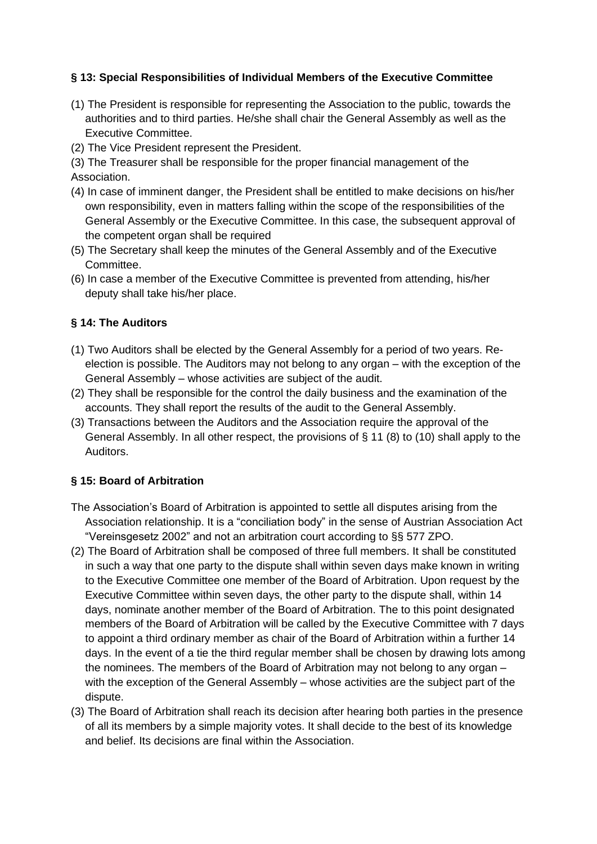## **§ 13: Special Responsibilities of Individual Members of the Executive Committee**

- (1) The President is responsible for representing the Association to the public, towards the authorities and to third parties. He/she shall chair the General Assembly as well as the Executive Committee.
- (2) The Vice President represent the President.
- (3) The Treasurer shall be responsible for the proper financial management of the Association.
- (4) In case of imminent danger, the President shall be entitled to make decisions on his/her own responsibility, even in matters falling within the scope of the responsibilities of the General Assembly or the Executive Committee. In this case, the subsequent approval of the competent organ shall be required
- (5) The Secretary shall keep the minutes of the General Assembly and of the Executive Committee.
- (6) In case a member of the Executive Committee is prevented from attending, his/her deputy shall take his/her place.

### **§ 14: The Auditors**

- (1) Two Auditors shall be elected by the General Assembly for a period of two years. Reelection is possible. The Auditors may not belong to any organ – with the exception of the General Assembly – whose activities are subject of the audit.
- (2) They shall be responsible for the control the daily business and the examination of the accounts. They shall report the results of the audit to the General Assembly.
- (3) Transactions between the Auditors and the Association require the approval of the General Assembly. In all other respect, the provisions of § 11 (8) to (10) shall apply to the Auditors.

### **§ 15: Board of Arbitration**

- The Association's Board of Arbitration is appointed to settle all disputes arising from the Association relationship. It is a "conciliation body" in the sense of Austrian Association Act "Vereinsgesetz 2002" and not an arbitration court according to §§ 577 ZPO.
- (2) The Board of Arbitration shall be composed of three full members. It shall be constituted in such a way that one party to the dispute shall within seven days make known in writing to the Executive Committee one member of the Board of Arbitration. Upon request by the Executive Committee within seven days, the other party to the dispute shall, within 14 days, nominate another member of the Board of Arbitration. The to this point designated members of the Board of Arbitration will be called by the Executive Committee with 7 days to appoint a third ordinary member as chair of the Board of Arbitration within a further 14 days. In the event of a tie the third regular member shall be chosen by drawing lots among the nominees. The members of the Board of Arbitration may not belong to any organ – with the exception of the General Assembly – whose activities are the subject part of the dispute.
- (3) The Board of Arbitration shall reach its decision after hearing both parties in the presence of all its members by a simple majority votes. It shall decide to the best of its knowledge and belief. Its decisions are final within the Association.